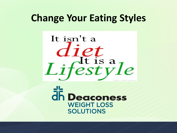# **Change Your Eating Styles**



**h** Deaconess **WEIGHT LOSS SOLUTIONS**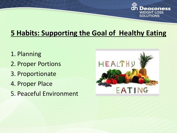

## **5 Habits: Supporting the Goal of Healthy Eating**

- 1. Planning
- 2. Proper Portions
- 3. Proportionate
- 4. Proper Place
- 5. Peaceful Environment

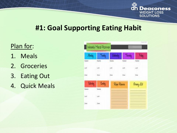

## **#1: Goal Supporting Eating Habit**

### Plan for:

- 1. Meals
- 2. Groceries
- 3. Eating Out
- 4. Quick Meals

| <b>Mandag</b>    | Tunday        | <b>I MANDA</b>         | <b>Thomas</b>   | Fistar               |
|------------------|---------------|------------------------|-----------------|----------------------|
| <b>Teacher</b>   | <b>Dealer</b> | <b>Justus</b>          | <b>District</b> | <b>Bushe</b>         |
| Úф               | 1,00          | List.<br>9 C.          | ud.             | $\omega\sigma$<br>69 |
| Sue              | $_{\rm 500}$  | $\frac{1}{2}m_{\rm B}$ | tive.           | $\frac{1}{2m}$       |
| Catarday         | <b>Conday</b> | Rige Riowa             |                 | Grang Lit            |
| <b>Norski've</b> | <b>Seaty</b>  |                        |                 |                      |
| in)              | 100           |                        |                 |                      |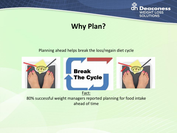

## **Why Plan?**

#### Planning ahead helps break the loss/regain diet cycle

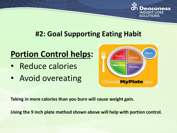

## **#2: Goal Supporting Eating Habit**

# **Portion Control helps:**

- Reduce calories
- Avoid overeating



**Taking in more calories than you burn will cause weight gain.**

**Using the 9 inch plate method shown above will help with portion control.**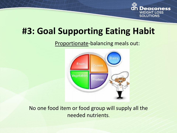

# **#3: Goal Supporting Eating Habit**

Proportionate-balancing meals out:



No one food item or food group will supply all the needed nutrients.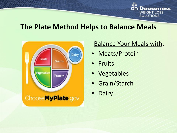

### **The Plate Method Helps to Balance Meals**



### Balance Your Meals with:

- Meats/Protein
- **Fruits**
- Vegetables
- Grain/Starch
- **Dairy**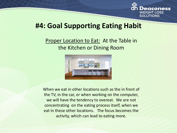

### **#4: Goal Supporting Eating Habit**

### Proper Location to Eat: At the Table in the Kitchen or Dining Room



When we eat in other locations such as the in front of the TV, in the car, or when working on the computer, we will have the tendency to overeat. We are not concentrating on the eating process itself, when we eat in these other locations. The focus becomes the activity, which can lead to eating more.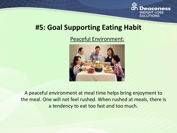

### **#5: Goal Supporting Eating Habit**

### Peaceful Environment:



A peaceful environment at meal time helps bring enjoyment to the meal. One will not feel rushed. When rushed at meals, there is a tendency to eat too fast and too much.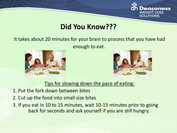

## **Did You Know???**

### It takes about 20 minutes for your brain to process that you have had enough to eat.





### Tips for slowing down the pace of eating:

- 1. Put the fork down between bites
- 2. Cut up the food into small size bites
- 3. If you eat in 10 to 15 minutes, wait 10-15 minutes prior to going back for seconds and ask yourself if you are still hungry.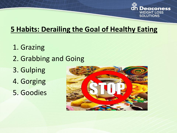

## **5 Habits: Derailing the Goal of Healthy Eating**

1. Grazing 2. Grabbing and Going 3. Gulping 4. Gorging 5. Goodies

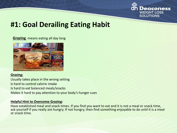

## **#1: Goal Derailing Eating Habit**

#### **Grazing** -means eating all day long



#### **Grazing:**

Usually takes place in the wrong setting Is hard to control calorie intake Is hard to eat balanced meals/snacks Makes it hard to pay attention to your body's hunger cues

#### **Helpful Hint to Overcome Grazing:**

Have established meal and snack times. If you find you want to eat and it is not a meal or snack time, ask yourself if you really are hungry. If not hungry, then find something enjoyable to do until it is a meal or snack time.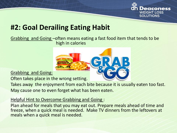

## **#2: Goal Derailing Eating Habit**

#### Grabbing and Going –often means eating a fast food item that tends to be high in calories



Grabbing and Going:

Often takes place in the wrong setting.

Takes away the enjoyment from each bite because it is usually eaten too fast. May cause one to even forget what has been eaten.

#### Helpful Hint to Overcome Grabbing and Going :

Plan ahead for meals that you may eat out. Prepare meals ahead of time and freeze, when a quick meal is needed. Make TV dinners from the leftovers at meals when a quick meal is needed.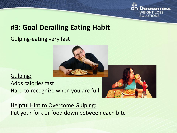

## **#3: Goal Derailing Eating Habit**

### Gulping-eating very fast



Gulping: Adds calories fast Hard to recognize when you are full



**Helpful Hint to Overcome Gulping:** Put your fork or food down between each bite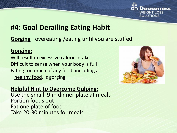

## **#4: Goal Derailing Eating Habit**

### **Gorging** –overeating /eating until you are stuffed

### **Gorging:**

Will result in excessive caloric intake Difficult to sense when your body is full Eating too much of any food, including a healthy food, is gorging.



### **Helpful Hint to Overcome Gulping:**

Use the small 9-in dinner plate at meals Portion foods out Eat one plate of food Take 20-30 minutes for meals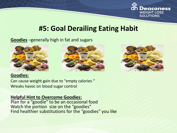

### **#5: Goal Derailing Eating Habit**

#### **Goodies** –generally high in fat and sugars







#### **Goodies:**

Can cause weight gain due to "empty calories " Wreaks havoc on blood sugar control

#### **Helpful Hint to Overcome Goodies:**

Plan for a "goodie" to be an occasional food Watch the portion size on the "goodies" Find healthier substitutions for the "goodies" you like